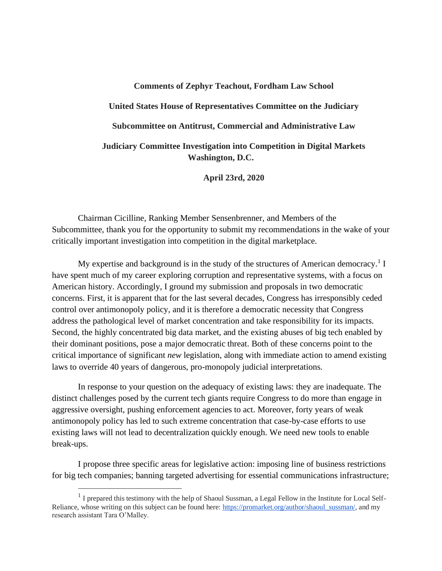# **Comments of Zephyr Teachout, Fordham Law School United States House of Representatives Committee on the Judiciary Subcommittee on Antitrust, Commercial and Administrative Law Judiciary Committee Investigation into Competition in Digital Markets Washington, D.C.**

**April 23rd, 2020**

Chairman Cicilline, Ranking Member Sensenbrenner, and Members of the Subcommittee, thank you for the opportunity to submit my recommendations in the wake of your critically important investigation into competition in the digital marketplace.

My expertise and background is in the study of the structures of American democracy.<sup>1</sup> I have spent much of my career exploring corruption and representative systems, with a focus on American history. Accordingly, I ground my submission and proposals in two democratic concerns. First, it is apparent that for the last several decades, Congress has irresponsibly ceded control over antimonopoly policy, and it is therefore a democratic necessity that Congress address the pathological level of market concentration and take responsibility for its impacts. Second, the highly concentrated big data market, and the existing abuses of big tech enabled by their dominant positions, pose a major democratic threat. Both of these concerns point to the critical importance of significant *new* legislation, along with immediate action to amend existing laws to override 40 years of dangerous, pro-monopoly judicial interpretations.

In response to your question on the adequacy of existing laws: they are inadequate. The distinct challenges posed by the current tech giants require Congress to do more than engage in aggressive oversight, pushing enforcement agencies to act. Moreover, forty years of weak antimonopoly policy has led to such extreme concentration that case-by-case efforts to use existing laws will not lead to decentralization quickly enough. We need new tools to enable break-ups.

I propose three specific areas for legislative action: imposing line of business restrictions for big tech companies; banning targeted advertising for essential communications infrastructure;

<sup>&</sup>lt;sup>1</sup> I prepared this testimony with the help of Shaoul Sussman, a Legal Fellow in the Institute for Local SelfReliance, whose writing on this subject can be found here: [https://promarket.org/author/shaoul\\_sussman/,](https://promarket.org/author/shaoul_sussman/) and my research assistant Tara O'Malley.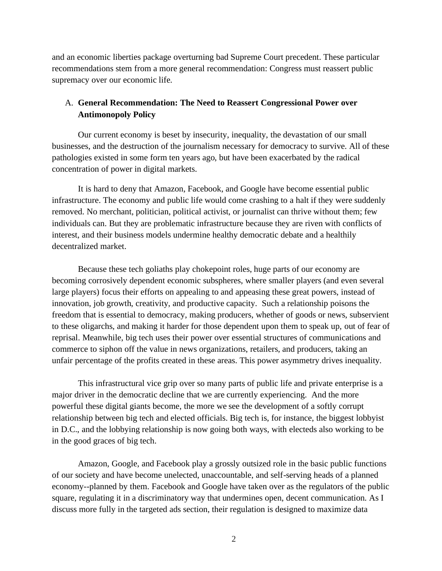and an economic liberties package overturning bad Supreme Court precedent. These particular recommendations stem from a more general recommendation: Congress must reassert public supremacy over our economic life.

# A. **General Recommendation: The Need to Reassert Congressional Power over Antimonopoly Policy**

Our current economy is beset by insecurity, inequality, the devastation of our small businesses, and the destruction of the journalism necessary for democracy to survive. All of these pathologies existed in some form ten years ago, but have been exacerbated by the radical concentration of power in digital markets.

It is hard to deny that Amazon, Facebook, and Google have become essential public infrastructure. The economy and public life would come crashing to a halt if they were suddenly removed. No merchant, politician, political activist, or journalist can thrive without them; few individuals can. But they are problematic infrastructure because they are riven with conflicts of interest, and their business models undermine healthy democratic debate and a healthily decentralized market.

Because these tech goliaths play chokepoint roles, huge parts of our economy are becoming corrosively dependent economic subspheres, where smaller players (and even several large players) focus their efforts on appealing to and appeasing these great powers, instead of innovation, job growth, creativity, and productive capacity. Such a relationship poisons the freedom that is essential to democracy, making producers, whether of goods or news, subservient to these oligarchs, and making it harder for those dependent upon them to speak up, out of fear of reprisal. Meanwhile, big tech uses their power over essential structures of communications and commerce to siphon off the value in news organizations, retailers, and producers, taking an unfair percentage of the profits created in these areas. This power asymmetry drives inequality.

This infrastructural vice grip over so many parts of public life and private enterprise is a major driver in the democratic decline that we are currently experiencing. And the more powerful these digital giants become, the more we see the development of a softly corrupt relationship between big tech and elected officials. Big tech is, for instance, the biggest lobbyist in D.C., and the lobbying relationship is now going both ways, with electeds also working to be in the good graces of big tech.

Amazon, Google, and Facebook play a grossly outsized role in the basic public functions of our society and have become unelected, unaccountable, and self-serving heads of a planned economy--planned by them. Facebook and Google have taken over as the regulators of the public square, regulating it in a discriminatory way that undermines open, decent communication. As I discuss more fully in the targeted ads section, their regulation is designed to maximize data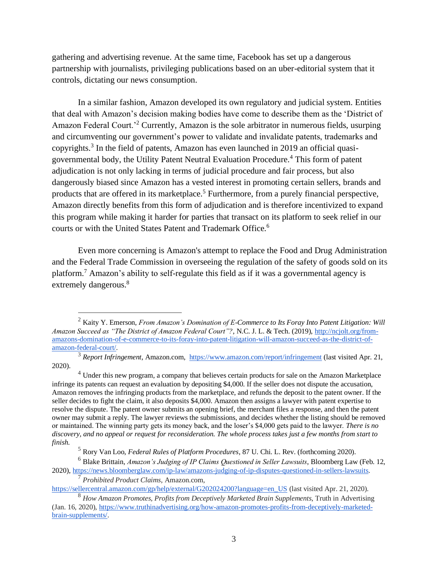gathering and advertising revenue. At the same time, Facebook has set up a dangerous partnership with journalists, privileging publications based on an uber-editorial system that it controls, dictating our news consumption.

In a similar fashion, Amazon developed its own regulatory and judicial system. Entities that deal with Amazon's decision making bodies have come to describe them as the 'District of Amazon Federal Court.<sup>2</sup> Currently, Amazon is the sole arbitrator in numerous fields, usurping and circumventing our government's power to validate and invalidate patents, trademarks and copyrights.<sup>3</sup> In the field of patents, Amazon has even launched in 2019 an official quasigovernmental body, the Utility Patent Neutral Evaluation Procedure.<sup>4</sup> This form of patent adjudication is not only lacking in terms of judicial procedure and fair process, but also dangerously biased since Amazon has a vested interest in promoting certain sellers, brands and products that are offered in its marketplace.<sup>5</sup> Furthermore, from a purely financial perspective, Amazon directly benefits from this form of adjudication and is therefore incentivized to expand this program while making it harder for parties that transact on its platform to seek relief in our courts or with the United States Patent and Trademark Office.<sup>6</sup>

Even more concerning is Amazon's attempt to replace the Food and Drug Administration and the Federal Trade Commission in overseeing the regulation of the safety of goods sold on its platform.<sup>7</sup> Amazon's ability to self-regulate this field as if it was a governmental agency is extremely dangerous.<sup>8</sup>

<sup>2</sup> Kaity Y. Emerson, *From Amazon's Domination of E-Commerce to Its Foray Into Patent Litigation: Will Amazon Succeed as "The District of Amazon Federal Court"?*, N.C. J. L. & Tech. (2019), [http://ncjolt.org/from](http://ncjolt.org/from-amazons-domination-of-e-commerce-to-its-foray-into-patent-litigation-will-amazon-succeed-as-the-district-of-amazon-federal-court/)[amazons-domination-of-e-commerce-to-its-foray-into-patent-litigation-will-amazon-succeed-as-the-district-of](http://ncjolt.org/from-amazons-domination-of-e-commerce-to-its-foray-into-patent-litigation-will-amazon-succeed-as-the-district-of-amazon-federal-court/)[amazon-federal-court/.](http://ncjolt.org/from-amazons-domination-of-e-commerce-to-its-foray-into-patent-litigation-will-amazon-succeed-as-the-district-of-amazon-federal-court/)

<sup>3</sup> *Report Infringement*, Amazon.com, <https://www.amazon.com/report/infringement> (last visited Apr. 21, 2020).

<sup>&</sup>lt;sup>4</sup> Under this new program, a company that believes certain products for sale on the Amazon Marketplace infringe its patents can request an evaluation by depositing \$4,000. If the seller does not dispute the accusation, Amazon removes the infringing products from the marketplace, and refunds the deposit to the patent owner. If the seller decides to fight the claim, it also deposits \$4,000. Amazon then assigns a lawyer with patent expertise to resolve the dispute. The patent owner submits an opening brief, the merchant files a response, and then the patent owner may submit a reply. The lawyer reviews the submissions, and decides whether the listing should be removed or maintained. The winning party gets its money back, and the loser's \$4,000 gets paid to the lawyer. *There is no discovery, and no appeal or request for reconsideration. The whole process takes just a few months from start to finish*.

<sup>5</sup> Rory Van Loo, *Federal Rules of Platform Procedures*, 87 U. Chi. L. Rev. (forthcoming 2020).

<sup>6</sup> Blake Brittain, *Amazon's Judging of IP Claims Questioned in Seller Lawsuits*, Bloomberg Law (Feb. 12, 2020), [https://news.bloomberglaw.com/ip-law/amazons-judging-of-ip-disputes-questioned-in-sellers-lawsuits.](https://news.bloomberglaw.com/ip-law/amazons-judging-of-ip-disputes-questioned-in-sellers-lawsuits)

<sup>7</sup> *Prohibited Product Claims*, Amazon.com,

[https://sellercentral.amazon.com/gp/help/external/G202024200?language=en\\_US](https://sellercentral.amazon.com/gp/help/external/G202024200?language=en_US) (last visited Apr. 21, 2020).

<sup>8</sup> *How Amazon Promotes, Profits from Deceptively Marketed Brain Supplements*, Truth in Advertising (Jan. 16, 2020), [https://www.truthinadvertising.org/how-amazon-promotes-profits-from-deceptively-marketed](https://www.truthinadvertising.org/how-amazon-promotes-profits-from-deceptively-marketed-brain-supplements/)[brain-supplements/.](https://www.truthinadvertising.org/how-amazon-promotes-profits-from-deceptively-marketed-brain-supplements/)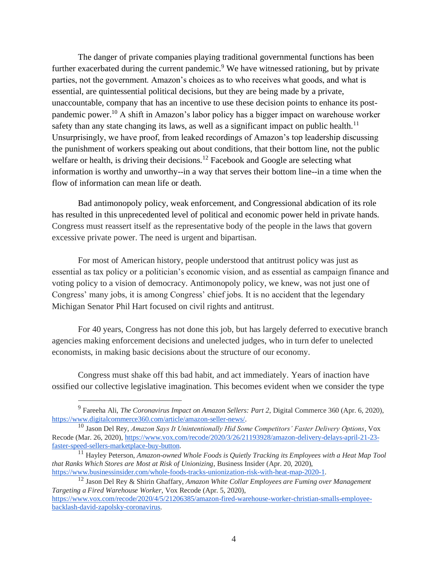The danger of private companies playing traditional governmental functions has been further exacerbated during the current pandemic.<sup>9</sup> We have witnessed rationing, but by private parties, not the government. Amazon's choices as to who receives what goods, and what is essential, are quintessential political decisions, but they are being made by a private, unaccountable, company that has an incentive to use these decision points to enhance its postpandemic power.<sup>10</sup> A shift in Amazon's labor policy has a bigger impact on warehouse worker safety than any state changing its laws, as well as a significant impact on public health.<sup>11</sup> Unsurprisingly, we have proof, from leaked recordings of Amazon's top leadership discussing the punishment of workers speaking out about conditions, that their bottom line, not the public welfare or health, is driving their decisions.<sup>12</sup> Facebook and Google are selecting what information is worthy and unworthy--in a way that serves their bottom line--in a time when the flow of information can mean life or death.

Bad antimonopoly policy, weak enforcement, and Congressional abdication of its role has resulted in this unprecedented level of political and economic power held in private hands. Congress must reassert itself as the representative body of the people in the laws that govern excessive private power. The need is urgent and bipartisan.

For most of American history, people understood that antitrust policy was just as essential as tax policy or a politician's economic vision, and as essential as campaign finance and voting policy to a vision of democracy. Antimonopoly policy, we knew, was not just one of Congress' many jobs, it is among Congress' chief jobs. It is no accident that the legendary Michigan Senator Phil Hart focused on civil rights and antitrust.

For 40 years, Congress has not done this job, but has largely deferred to executive branch agencies making enforcement decisions and unelected judges, who in turn defer to unelected economists, in making basic decisions about the structure of our economy.

Congress must shake off this bad habit, and act immediately. Years of inaction have ossified our collective legislative imagination. This becomes evident when we consider the type

<sup>9</sup> Fareeha Ali, *The Coronavirus Impact on Amazon Sellers: Part 2*, Digital Commerce 360 (Apr. 6, 2020), [https://www.digitalcommerce360.com/article/amazon-seller-news/.](https://www.digitalcommerce360.com/article/amazon-seller-news/)

<sup>10</sup> Jason Del Rey, *Amazon Says It Unintentionally Hid Some Competitors' Faster Delivery Options*, Vox Recode (Mar. 26, 2020), [https://www.vox.com/recode/2020/3/26/21193928/amazon-delivery-delays-april-21-23](https://www.vox.com/recode/2020/3/26/21193928/amazon-delivery-delays-april-21-23-faster-speed-sellers-marketplace-buy-button) [faster-speed-sellers-marketplace-buy-button.](https://www.vox.com/recode/2020/3/26/21193928/amazon-delivery-delays-april-21-23-faster-speed-sellers-marketplace-buy-button)

<sup>11</sup> Hayley Peterson, *Amazon-owned Whole Foods is Quietly Tracking its Employees with a Heat Map Tool that Ranks Which Stores are Most at Risk of Unionizing*, Business Insider (Apr. 20, 2020), [https://www.businessinsider.com/whole-foods-tracks-unionization-risk-with-heat-map-2020-1.](https://www.businessinsider.com/whole-foods-tracks-unionization-risk-with-heat-map-2020-1)

<sup>12</sup> Jason Del Rey & Shirin Ghaffary, *Amazon White Collar Employees are Fuming over Management Targeting a Fired Warehouse Worker*, Vox Recode (Apr. 5, 2020), [https://www.vox.com/recode/2020/4/5/21206385/amazon-fired-warehouse-worker-christian-smalls-employee-](https://www.vox.com/recode/2020/4/5/21206385/amazon-fired-warehouse-worker-christian-smalls-employee-backlash-david-zapolsky-coronavirus)

[backlash-david-zapolsky-coronavirus.](https://www.vox.com/recode/2020/4/5/21206385/amazon-fired-warehouse-worker-christian-smalls-employee-backlash-david-zapolsky-coronavirus)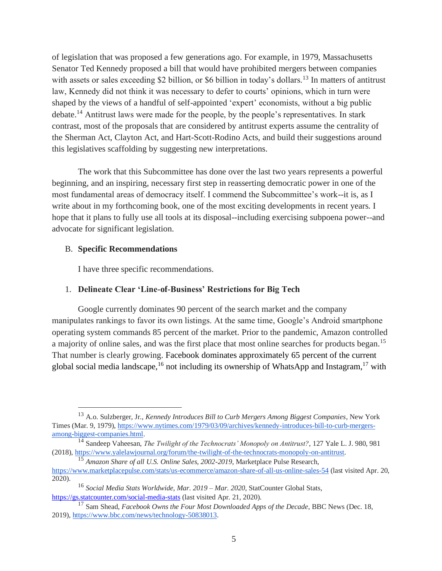of legislation that was proposed a few generations ago. For example, in 1979, Massachusetts Senator Ted Kennedy proposed a bill that would have prohibited mergers between companies with assets or sales exceeding \$2 billion, or \$6 billion in today's dollars.<sup>13</sup> In matters of antitrust law, Kennedy did not think it was necessary to defer to courts' opinions, which in turn were shaped by the views of a handful of self-appointed 'expert' economists, without a big public debate.<sup>14</sup> Antitrust laws were made for the people, by the people's representatives. In stark contrast, most of the proposals that are considered by antitrust experts assume the centrality of the Sherman Act, Clayton Act, and Hart-Scott-Rodino Acts, and build their suggestions around this legislatives scaffolding by suggesting new interpretations.

The work that this Subcommittee has done over the last two years represents a powerful beginning, and an inspiring, necessary first step in reasserting democratic power in one of the most fundamental areas of democracy itself. I commend the Subcommittee's work--it is, as I write about in my forthcoming book, one of the most exciting developments in recent years. I hope that it plans to fully use all tools at its disposal--including exercising subpoena power--and advocate for significant legislation.

#### B. **Specific Recommendations**

I have three specific recommendations.

## 1. **Delineate Clear 'Line-of-Business' Restrictions for Big Tech**

Google currently dominates 90 percent of the search market and the company manipulates rankings to favor its own listings. At the same time, Google's Android smartphone operating system commands 85 percent of the market. Prior to the pandemic, Amazon controlled a majority of online sales, and was the first place that most online searches for products began.<sup>15</sup> That number is clearly growing. Facebook dominates approximately 65 percent of the current global social media landscape,<sup>16</sup> not including its ownership of WhatsApp and Instagram,<sup>17</sup> with

<sup>13</sup> A.o. Sulzberger, Jr., *Kennedy Introduces Bill to Curb Mergers Among Biggest Companies*, New York Times (Mar. 9, 1979), [https://www.nytimes.com/1979/03/09/archives/kennedy-introduces-bill-to-curb-mergers](https://www.nytimes.com/1979/03/09/archives/kennedy-introduces-bill-to-curb-mergers-among-biggest-companies.html)[among-biggest-companies.html.](https://www.nytimes.com/1979/03/09/archives/kennedy-introduces-bill-to-curb-mergers-among-biggest-companies.html)

<sup>14</sup> Sandeep Vaheesan, *The Twilight of the Technocrats' Monopoly on Antitrust?*, 127 Yale L. J. 980, 981 (2018)[, https://www.yalelawjournal.org/forum/the-twilight-of-the-technocrats-monopoly-on-antitrust.](https://www.yalelawjournal.org/forum/the-twilight-of-the-technocrats-monopoly-on-antitrust)

<sup>15</sup> *Amazon Share of all U.S. Online Sales, 2002-2019*, Marketplace Pulse Research, <https://www.marketplacepulse.com/stats/us-ecommerce/amazon-share-of-all-us-online-sales-54> (last visited Apr. 20, 2020).

<sup>16</sup> *Social Media Stats Worldwide, Mar. 2019 – Mar. 2020*, StatCounter Global Stat[s,](https://gs.statcounter.com/social-media-stats) <https://gs.statcounter.com/social-media-stats> (last visited Apr. 21, 2020).

<sup>&</sup>lt;sup>17</sup> Sam Shead, *Facebook Owns the Four Most Downloaded Apps of the Decade*, BBC News (Dec. 18, 2019)[, https://www.bbc.com/news/technology-50838013.](https://www.bbc.com/news/technology-50838013)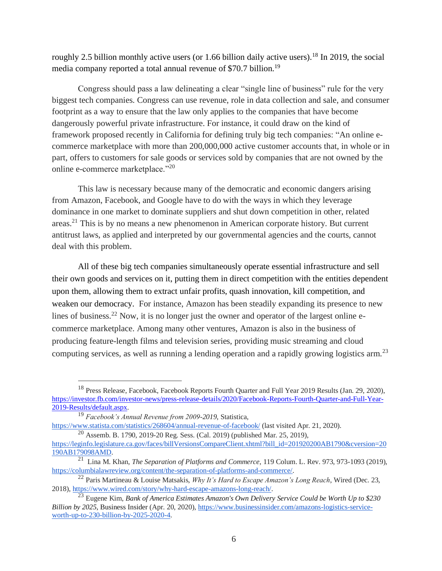roughly 2.5 billion monthly active users (or 1.66 billion daily active users).<sup>18</sup> In 2019, the social media company reported a total annual revenue of \$70.7 billion.<sup>19</sup>

Congress should pass a law delineating a clear "single line of business" rule for the very biggest tech companies. Congress can use revenue, role in data collection and sale, and consumer footprint as a way to ensure that the law only applies to the companies that have become dangerously powerful private infrastructure. For instance, it could draw on the kind of framework proposed recently in California for defining truly big tech companies: "An online ecommerce marketplace with more than 200,000,000 active customer accounts that, in whole or in part, offers to customers for sale goods or services sold by companies that are not owned by the online e-commerce marketplace."<sup>20</sup>

This law is necessary because many of the democratic and economic dangers arising from Amazon, Facebook, and Google have to do with the ways in which they leverage dominance in one market to dominate suppliers and shut down competition in other, related areas.<sup>21</sup> This is by no means a new phenomenon in American corporate history. But current antitrust laws, as applied and interpreted by our governmental agencies and the courts, cannot deal with this problem.

All of these big tech companies simultaneously operate essential infrastructure and sell their own goods and services on it, putting them in direct competition with the entities dependent upon them, allowing them to extract unfair profits, quash innovation, kill competition, and weaken our democracy. For instance, Amazon has been steadily expanding its presence to new lines of business.<sup>22</sup> Now, it is no longer just the owner and operator of the largest online ecommerce marketplace. Among many other ventures, Amazon is also in the business of producing feature-length films and television series, providing music streaming and cloud computing services, as well as running a lending operation and a rapidly growing logistics arm.<sup>23</sup>

<sup>18</sup> Press Release, Facebook, Facebook Reports Fourth Quarter and Full Year 2019 Results (Jan. 29, 2020[\),](https://investor.fb.com/investor-news/press-release-details/2020/Facebook-Reports-Fourth-Quarter-and-Full-Year-2019-Results/default.aspx) [https://investor.fb.com/investor-news/press-release-details/2020/Facebook-Reports-Fourth-Quarter-and-Full-Year-](https://investor.fb.com/investor-news/press-release-details/2020/Facebook-Reports-Fourth-Quarter-and-Full-Year-2019-Results/default.aspx)[2019-Results/default.aspx.](https://investor.fb.com/investor-news/press-release-details/2020/Facebook-Reports-Fourth-Quarter-and-Full-Year-2019-Results/default.aspx)

<sup>19</sup> *Facebook's Annual Revenue from 2009-2019*, Statistica,

<https://www.statista.com/statistics/268604/annual-revenue-of-facebook/> (last visited Apr. 21, 2020).

<sup>20</sup> Assemb. B. 1790, 2019-20 Reg. Sess. (Cal. 2019) (published Mar. 25, 2019), [https://leginfo.legislature.ca.gov/faces/billVersionsCompareClient.xhtml?bill\\_id=201920200AB1790&cversion=20](https://leginfo.legislature.ca.gov/faces/billVersionsCompareClient.xhtml?bill_id=201920200AB1790&cversion=20190AB179098AMD) [190AB179098AMD.](https://leginfo.legislature.ca.gov/faces/billVersionsCompareClient.xhtml?bill_id=201920200AB1790&cversion=20190AB179098AMD)

<sup>21</sup> Lina M. Khan, *The Separation of Platforms and Commerce*, 119 Colum. L. Rev. 973, 973-1093 (2019), [https://columbialawreview.org/content/the-separation-of-platforms-and-commerce/.](https://columbialawreview.org/content/the-separation-of-platforms-and-commerce/)

<sup>22</sup> Paris Martineau & Louise Matsakis, *Why It's Hard to Escape Amazon's Long Reach*, Wired (Dec. 23, 2018)[, https://www.wired.com/story/why-hard-escape-amazons-long-reach/.](https://www.wired.com/story/why-hard-escape-amazons-long-reach/)

<sup>23</sup> Eugene Kim, *Bank of America Estimates Amazon's Own Delivery Service Could be Worth Up to \$230 Billion by 2025*, Business Insider (Apr. 20, 2020), [https://www.businessinsider.com/amazons-logistics-service](https://www.businessinsider.com/amazons-logistics-service-worth-up-to-230-billion-by-2025-2020-4)[worth-up-to-230-billion-by-2025-2020-4.](https://www.businessinsider.com/amazons-logistics-service-worth-up-to-230-billion-by-2025-2020-4)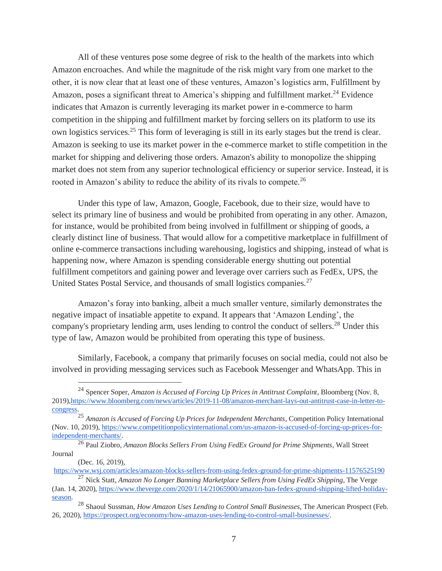All of these ventures pose some degree of risk to the health of the markets into which Amazon encroaches. And while the magnitude of the risk might vary from one market to the other, it is now clear that at least one of these ventures, Amazon's logistics arm, Fulfillment by Amazon, poses a significant threat to America's shipping and fulfillment market.<sup>24</sup> Evidence indicates that Amazon is currently leveraging its market power in e-commerce to harm competition in the shipping and fulfillment market by forcing sellers on its platform to use its own logistics services.<sup>25</sup> This form of leveraging is still in its early stages but the trend is clear. Amazon is seeking to use its market power in the e-commerce market to stifle competition in the market for shipping and delivering those orders. Amazon's ability to monopolize the shipping market does not stem from any superior technological efficiency or superior service. Instead, it is rooted in Amazon's ability to reduce the ability of its rivals to compete.<sup>26</sup>

Under this type of law, Amazon, Google, Facebook, due to their size, would have to select its primary line of business and would be prohibited from operating in any other. Amazon, for instance, would be prohibited from being involved in fulfillment or shipping of goods, a clearly distinct line of business. That would allow for a competitive marketplace in fulfillment of online e-commerce transactions including warehousing, logistics and shipping, instead of what is happening now, where Amazon is spending considerable energy shutting out potential fulfillment competitors and gaining power and leverage over carriers such as FedEx, UPS, the United States Postal Service, and thousands of small logistics companies.<sup>27</sup>

Amazon's foray into banking, albeit a much smaller venture, similarly demonstrates the negative impact of insatiable appetite to expand. It appears that 'Amazon Lending', the company's proprietary lending arm, uses lending to control the conduct of sellers.<sup>28</sup> Under this type of law, Amazon would be prohibited from operating this type of business.

Similarly, Facebook, a company that primarily focuses on social media, could not also be involved in providing messaging services such as Facebook Messenger and WhatsApp. This in

(Dec. 16, 2019),

<sup>24</sup> Spencer Soper, *Amazon is Accused of Forcing Up Prices in Antitrust Complaint*, Bloomberg (Nov. 8, 2019)[,https://www.bloomberg.com/news/articles/2019-11-08/amazon-merchant-lays-out-antitrust-case-in-letter-to](https://www.bloomberg.com/news/articles/2019-11-08/amazon-merchant-lays-out-antitrust-case-in-letter-to-congress)[congress.](https://www.bloomberg.com/news/articles/2019-11-08/amazon-merchant-lays-out-antitrust-case-in-letter-to-congress)

<sup>25</sup> *Amazon is Accused of Forcing Up Prices for Independent Merchants*, Competition Policy International (Nov. 10, 2019), [https://www.competitionpolicyinternational.com/us-amazon-is-accused-of-forcing-up-prices-for](https://www.competitionpolicyinternational.com/us-amazon-is-accused-of-forcing-up-prices-for-independent-merchants/)[independent-merchants/.](https://www.competitionpolicyinternational.com/us-amazon-is-accused-of-forcing-up-prices-for-independent-merchants/)

<sup>26</sup> Paul Ziobro, *Amazon Blocks Sellers From Using FedEx Ground for Prime Shipments*, Wall Street Journal

<https://www.wsj.com/articles/amazon-blocks-sellers-from-using-fedex-ground-for-prime-shipments-11576525190> <sup>27</sup> Nick Statt, *Amazon No Longer Banning Marketplace Sellers from Using FedEx Shipping*, The Verge

<sup>(</sup>Jan. 14, 2020), [https://www.theverge.com/2020/1/14/21065900/amazon-ban-fedex-ground-shipping-lifted-holiday](https://www.theverge.com/2020/1/14/21065900/amazon-ban-fedex-ground-shipping-lifted-holiday-season)[season.](https://www.theverge.com/2020/1/14/21065900/amazon-ban-fedex-ground-shipping-lifted-holiday-season)

<sup>28</sup> Shaoul Sussman, *How Amazon Uses Lending to Control Small Businesses*, The American Prospect (Feb. 26, 2020), [https://prospect.org/economy/how-amazon-uses-lending-to-control-small-businesses/.](https://prospect.org/economy/how-amazon-uses-lending-to-control-small-businesses/)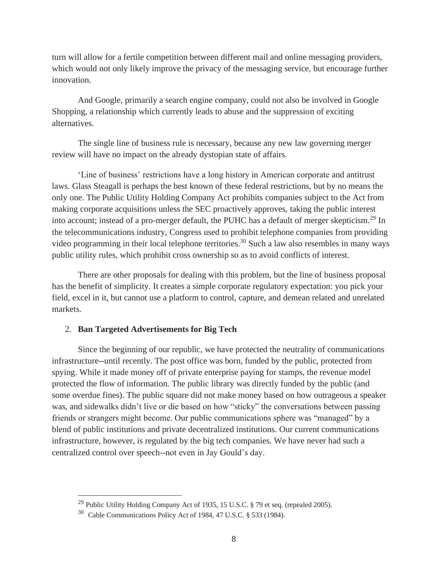turn will allow for a fertile competition between different mail and online messaging providers, which would not only likely improve the privacy of the messaging service, but encourage further innovation.

And Google, primarily a search engine company, could not also be involved in Google Shopping, a relationship which currently leads to abuse and the suppression of exciting alternatives.

The single line of business rule is necessary, because any new law governing merger review will have no impact on the already dystopian state of affairs.

'Line of business' restrictions have a long history in American corporate and antitrust laws. Glass Steagall is perhaps the best known of these federal restrictions, but by no means the only one. The Public Utility Holding Company Act prohibits companies subject to the Act from making corporate acquisitions unless the SEC proactively approves, taking the public interest into account; instead of a pro-merger default, the PUHC has a default of merger skepticism.<sup>29</sup> In the telecommunications industry, Congress used to prohibit telephone companies from providing video programming in their local telephone territories.<sup>30</sup> Such a law also resembles in many ways public utility rules, which prohibit cross ownership so as to avoid conflicts of interest.

There are other proposals for dealing with this problem, but the line of business proposal has the benefit of simplicity. It creates a simple corporate regulatory expectation: you pick your field, excel in it, but cannot use a platform to control, capture, and demean related and unrelated markets.

#### 2. **Ban Targeted Advertisements for Big Tech**

Since the beginning of our republic, we have protected the neutrality of communications infrastructure--until recently. The post office was born, funded by the public, protected from spying. While it made money off of private enterprise paying for stamps, the revenue model protected the flow of information. The public library was directly funded by the public (and some overdue fines). The public square did not make money based on how outrageous a speaker was, and sidewalks didn't live or die based on how "sticky" the conversations between passing friends or strangers might become. Our public communications sphere was "managed" by a blend of public institutions and private decentralized institutions. Our current communications infrastructure, however, is regulated by the big tech companies. We have never had such a centralized control over speech--not even in Jay Gould's day.

<sup>&</sup>lt;sup>29</sup> Public Utility Holding Company Act of 1935, 15 U.S.C. § 79 et seq. (repealed 2005).

<sup>30</sup> Cable Communications Policy Act of 1984, 47 U.S.C. § 533 (1984).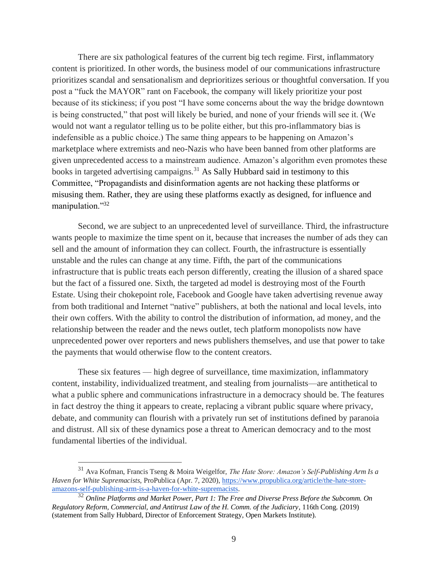There are six pathological features of the current big tech regime. First, inflammatory content is prioritized. In other words, the business model of our communications infrastructure prioritizes scandal and sensationalism and deprioritizes serious or thoughtful conversation. If you post a "fuck the MAYOR" rant on Facebook, the company will likely prioritize your post because of its stickiness; if you post "I have some concerns about the way the bridge downtown is being constructed," that post will likely be buried, and none of your friends will see it. (We would not want a regulator telling us to be polite either, but this pro-inflammatory bias is indefensible as a public choice.) The same thing appears to be happening on Amazon's marketplace where extremists and neo-Nazis who have been banned from other platforms are given unprecedented access to a mainstream audience. Amazon's algorithm even promotes these books in targeted advertising campaigns.<sup>31</sup> As Sally Hubbard said in testimony to this Committee, "Propagandists and disinformation agents are not hacking these platforms or misusing them. Rather, they are using these platforms exactly as designed, for influence and manipulation."32

Second, we are subject to an unprecedented level of surveillance. Third, the infrastructure wants people to maximize the time spent on it, because that increases the number of ads they can sell and the amount of information they can collect. Fourth, the infrastructure is essentially unstable and the rules can change at any time. Fifth, the part of the communications infrastructure that is public treats each person differently, creating the illusion of a shared space but the fact of a fissured one. Sixth, the targeted ad model is destroying most of the Fourth Estate. Using their chokepoint role, Facebook and Google have taken advertising revenue away from both traditional and Internet "native" publishers, at both the national and local levels, into their own coffers. With the ability to control the distribution of information, ad money, and the relationship between the reader and the news outlet, tech platform monopolists now have unprecedented power over reporters and news publishers themselves, and use that power to take the payments that would otherwise flow to the content creators.

These six features — high degree of surveillance, time maximization, inflammatory content, instability, individualized treatment, and stealing from journalists—are antithetical to what a public sphere and communications infrastructure in a democracy should be. The features in fact destroy the thing it appears to create, replacing a vibrant public square where privacy, debate, and community can flourish with a privately run set of institutions defined by paranoia and distrust. All six of these dynamics pose a threat to American democracy and to the most fundamental liberties of the individual.

<sup>31</sup> Ava Kofman, Francis Tseng & Moira Weigelfor, *The Hate Store: Amazon's Self-Publishing Arm Is a Haven for White Supremacists*, ProPublica (Apr. 7, 2020)[, https://www.propublica.org/article/the-hate-store](https://www.propublica.org/article/the-hate-store-amazons-self-publishing-arm-is-a-haven-for-white-supremacists)[amazons-self-publishing-arm-is-a-haven-for-white-supremacists.](https://www.propublica.org/article/the-hate-store-amazons-self-publishing-arm-is-a-haven-for-white-supremacists)

<sup>32</sup> *Online Platforms and Market Power, Part 1: The Free and Diverse Press Before the Subcomm. On Regulatory Reform, Commercial, and Antitrust Law of the H. Comm. of the Judiciary*, 116th Cong. (2019) (statement from Sally Hubbard, Director of Enforcement Strategy, Open Markets Institute).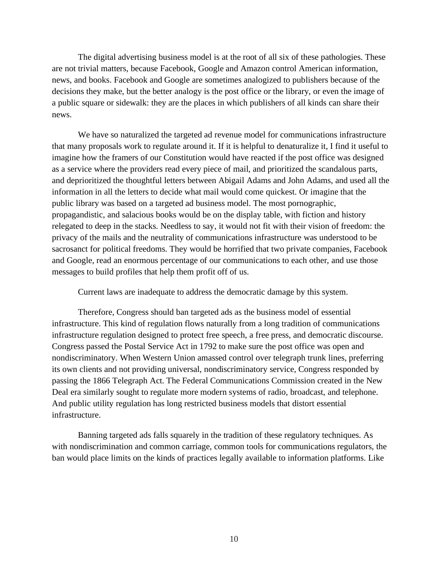The digital advertising business model is at the root of all six of these pathologies. These are not trivial matters, because Facebook, Google and Amazon control American information, news, and books. Facebook and Google are sometimes analogized to publishers because of the decisions they make, but the better analogy is the post office or the library, or even the image of a public square or sidewalk: they are the places in which publishers of all kinds can share their news.

We have so naturalized the targeted ad revenue model for communications infrastructure that many proposals work to regulate around it. If it is helpful to denaturalize it, I find it useful to imagine how the framers of our Constitution would have reacted if the post office was designed as a service where the providers read every piece of mail, and prioritized the scandalous parts, and deprioritized the thoughtful letters between Abigail Adams and John Adams, and used all the information in all the letters to decide what mail would come quickest. Or imagine that the public library was based on a targeted ad business model. The most pornographic, propagandistic, and salacious books would be on the display table, with fiction and history relegated to deep in the stacks. Needless to say, it would not fit with their vision of freedom: the privacy of the mails and the neutrality of communications infrastructure was understood to be sacrosanct for political freedoms. They would be horrified that two private companies, Facebook and Google, read an enormous percentage of our communications to each other, and use those messages to build profiles that help them profit off of us.

Current laws are inadequate to address the democratic damage by this system.

Therefore, Congress should ban targeted ads as the business model of essential infrastructure. This kind of regulation flows naturally from a long tradition of communications infrastructure regulation designed to protect free speech, a free press, and democratic discourse. Congress passed the Postal Service Act in 1792 to make sure the post office was open and nondiscriminatory. When Western Union amassed control over telegraph trunk lines, preferring its own clients and not providing universal, nondiscriminatory service, Congress responded by passing the 1866 Telegraph Act. The Federal Communications Commission created in the New Deal era similarly sought to regulate more modern systems of radio, broadcast, and telephone. And public utility regulation has long restricted business models that distort essential infrastructure.

Banning targeted ads falls squarely in the tradition of these regulatory techniques. As with nondiscrimination and common carriage, common tools for communications regulators, the ban would place limits on the kinds of practices legally available to information platforms. Like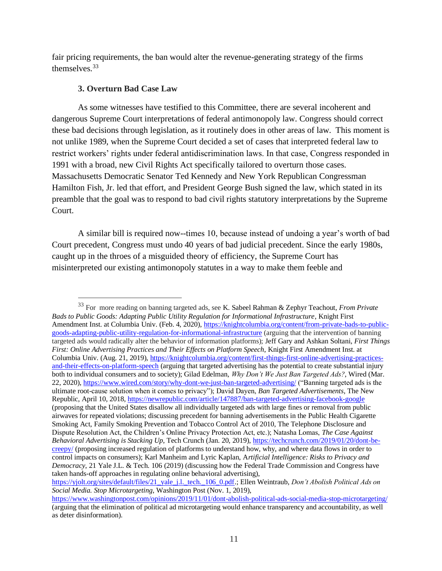fair pricing requirements, the ban would alter the revenue-generating strategy of the firms themselves.<sup>33</sup>

## **3. Overturn Bad Case Law**

As some witnesses have testified to this Committee, there are several incoherent and dangerous Supreme Court interpretations of federal antimonopoly law. Congress should correct these bad decisions through legislation, as it routinely does in other areas of law. This moment is not unlike 1989, when the Supreme Court decided a set of cases that interpreted federal law to restrict workers' rights under federal antidiscrimination laws. In that case, Congress responded in 1991 with a broad, new Civil Rights Act specifically tailored to overturn those cases. Massachusetts Democratic Senator Ted Kennedy and New York Republican Congressman Hamilton Fish, Jr. led that effort, and President George Bush signed the law, which stated in its preamble that the goal was to respond to bad civil rights statutory interpretations by the Supreme Court.

A similar bill is required now--times 10, because instead of undoing a year's worth of bad Court precedent, Congress must undo 40 years of bad judicial precedent. Since the early 1980s, caught up in the throes of a misguided theory of efficiency, the Supreme Court has misinterpreted our existing antimonopoly statutes in a way to make them feeble and

<sup>33</sup> For more reading on banning targeted ads, see K. Sabeel Rahman & Zephyr Teachout, *From Private Bads to Public Goods: Adapting Public Utility Regulation for Informational Infrastructure*, Knight First Amendment Inst. at Columbia Univ. (Feb. 4, 2020), [https://knightcolumbia.org/content/from-private-bads-to-public](https://knightcolumbia.org/content/from-private-bads-to-public-goods-adapting-public-utility-regulation-for-informational-infrastructure)[goods-adapting-public-utility-regulation-for-informational-infrastructure](https://knightcolumbia.org/content/from-private-bads-to-public-goods-adapting-public-utility-regulation-for-informational-infrastructure) (arguing that the intervention of banning targeted ads would radically alter the behavior of information platforms); Jeff Gary and Ashkan Soltani, *First Things First: Online Advertising Practices and Their Effects on Platform Speech*, Knight First Amendment Inst. at Columbia Univ. (Aug. 21, 2019[\),](https://knightcolumbia.org/content/first-things-first-online-advertising-practices-and-their-effects-on-platform-speech) [https://knightcolumbia.org/content/first-things-first-online-advertising-practices](https://knightcolumbia.org/content/first-things-first-online-advertising-practices-and-their-effects-on-platform-speech)[and-their-effects-on-platform-speech](https://knightcolumbia.org/content/first-things-first-online-advertising-practices-and-their-effects-on-platform-speech) (arguing that targeted advertising has the potential to create substantial injury both to individual consumers and to society); Gilad Edelman, *Why Don't We Just Ban Targeted Ads?*, Wired (Mar. 22, 2020), <https://www.wired.com/story/why-dont-we-just-ban-targeted-advertising/> ("Banning targeted ads is the ultimate root-cause solution when it comes to privacy"); David Dayen, *Ban Targeted Advertisements*, The New Republic, April 10, 2018[,](https://newrepublic.com/article/147887/ban-targeted-advertising-facebook-google) <https://newrepublic.com/article/147887/ban-targeted-advertising-facebook-google> (proposing that the United States disallow all individually targeted ads with large fines or removal from public airwaves for repeated violations; discussing precedent for banning advertisements in the Public Health Cigarette Smoking Act, Family Smoking Prevention and Tobacco Control Act of 2010, The Telephone Disclosure and Dispute Resolution Act, the Children's Online Privacy Protection Act, etc.); Natasha Lomas, *The Case Against Behavioral Advertising is Stacking Up*, Tech Crunch (Jan. 20, 2019), [https://techcrunch.com/2019/01/20/dont-be](https://techcrunch.com/2019/01/20/dont-be-creepy/)[creepy/](https://techcrunch.com/2019/01/20/dont-be-creepy/) (proposing increased regulation of platforms to understand how, why, and where data flows in order to control impacts on consumers); Karl Manheim and Lyric Kaplan, A*rtificial Intelligence: Risks to Privacy and Democracy*, 21 Yale J.L. & Tech. 106 (2019) (discussing how the Federal Trade Commission and Congress have taken hands-off approaches in regulating online behavioral advertising), [https://yjolt.org/sites/default/files/21\\_yale\\_j.l.\\_tech.\\_106\\_0.pdf.](https://yjolt.org/sites/default/files/21_yale_j.l._tech._106_0.pdf); Ellen Weintraub, *Don't Abolish Political Ads on* 

*Social Media. Stop Microtargeting*, Washington Post (Nov. 1, 2019[\),](https://www.washingtonpost.com/opinions/2019/11/01/dont-abolish-political-ads-social-media-stop-microtargeting/)

<https://www.washingtonpost.com/opinions/2019/11/01/dont-abolish-political-ads-social-media-stop-microtargeting/> (arguing that the elimination of political ad microtargeting would enhance transparency and accountability, as well as deter disinformation).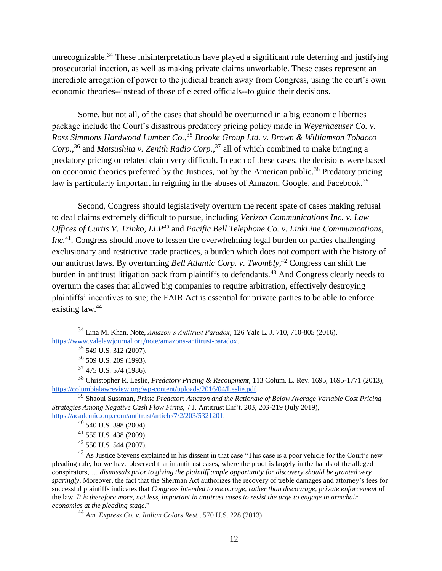unrecognizable.<sup>34</sup> These misinterpretations have played a significant role deterring and justifying prosecutorial inaction, as well as making private claims unworkable. These cases represent an incredible arrogation of power to the judicial branch away from Congress, using the court's own economic theories--instead of those of elected officials--to guide their decisions.

Some, but not all, of the cases that should be overturned in a big economic liberties package include the Court's disastrous predatory pricing policy made in *Weyerhaeuser Co. v. Ross Simmons Hardwood Lumber Co.*, <sup>35</sup> *Brooke Group Ltd. v. Brown & Williamson Tobacco Corp.*, <sup>36</sup> and *Matsushita v. Zenith Radio Corp.*, <sup>37</sup> all of which combined to make bringing a predatory pricing or related claim very difficult. In each of these cases, the decisions were based on economic theories preferred by the Justices, not by the American public.<sup>38</sup> Predatory pricing law is particularly important in reigning in the abuses of Amazon, Google, and Facebook.<sup>39</sup>

Second, Congress should legislatively overturn the recent spate of cases making refusal to deal claims extremely difficult to pursue, including *Verizon Communications Inc. v. Law Offices of Curtis V. Trinko, LLP<sup>40</sup>* and *Pacific Bell Telephone Co. v. LinkLine Communications, Inc.*<sup>41</sup>. Congress should move to lessen the overwhelming legal burden on parties challenging exclusionary and restrictive trade practices, a burden which does not comport with the history of our antitrust laws. By overturning *Bell Atlantic Corp. v. Twombly*, <sup>42</sup> Congress can shift the burden in antitrust litigation back from plaintiffs to defendants.<sup>43</sup> And Congress clearly needs to overturn the cases that allowed big companies to require arbitration, effectively destroying plaintiffs' incentives to sue; the FAIR Act is essential for private parties to be able to enforce existing law.<sup>44</sup>

<sup>38</sup> Christopher R. Leslie, *Predatory Pricing & Recoupment*, 113 Colum. L. Rev. 1695, 1695-1771 (2013), [https://columbialawreview.org/wp-content/uploads/2016/04/Leslie.pdf.](https://columbialawreview.org/wp-content/uploads/2016/04/Leslie.pdf)

<sup>39</sup> Shaoul Sussman, *Prime Predator: Amazon and the Rationale of Below Average Variable Cost Pricing Strategies Among Negative Cash Flow Firms*, 7 J. Antitrust Enf't. 203, 203-219 (July 2019), [https://academic.oup.com/antitrust/article/7/2/203/5321201.](https://academic.oup.com/antitrust/article/7/2/203/5321201)

<sup>43</sup> As Justice Stevens explained in his dissent in that case "This case is a poor vehicle for the Court's new pleading rule, for we have observed that in antitrust cases, where the proof is largely in the hands of the alleged conspirators, … *dismissals prior to giving the plaintiff ample opportunity for discovery should be granted very sparingly*. Moreover, the fact that the Sherman Act authorizes the recovery of treble damages and attorney's fees for successful plaintiffs indicates that *Congress intended to encourage, rather than discourage, private enforcement* of the law. *It is therefore more, not less, important in antitrust cases to resist the urge to engage in armchair economics at the pleading stage.*"

<sup>44</sup> *Am. Express Co. v. Italian Colors Rest.*, 570 U.S. 228 (2013).

<sup>34</sup> Lina M. Khan, Note, *Amazon's Antitrust Paradox*, 126 Yale L. J. 710, 710-805 (2016), [https://www.yalelawjournal.org/note/amazons-antitrust-paradox.](https://www.yalelawjournal.org/note/amazons-antitrust-paradox)

<sup>35</sup> 549 U.S. 312 (2007).

<sup>36</sup> 509 U.S. 209 (1993).

<sup>37</sup> 475 U.S. 574 (1986).

 $40$  540 U.S. 398 (2004).

<sup>41</sup> 555 U.S. 438 (2009).

 $42$  550 U.S. 544 (2007).